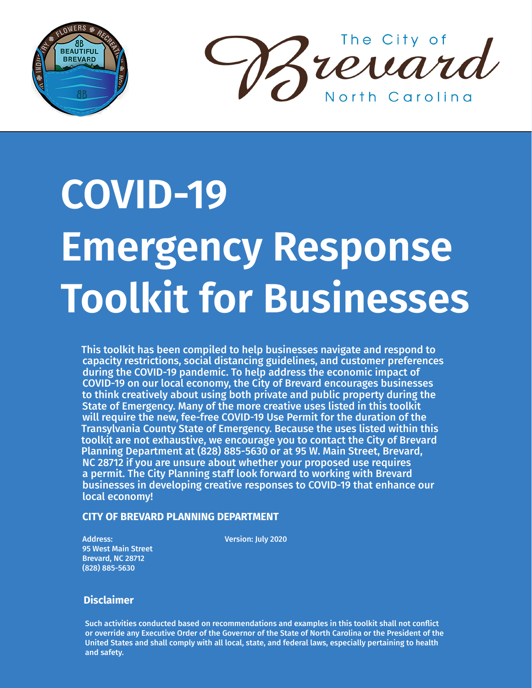



# **COVID-19 Emergency Response Toolkit for Businesses**

This toolkit has been compiled to help businesses navigate and respond to capacity restrictions, social distancing guidelines, and customer preferences during the COVID-19 pandemic. To help address the economic impact of COVID-19 on our local economy, the City of Brevard encourages businesses to think creatively about using both private and public property during the State of Emergency. Many of the more creative uses listed in this toolkit will require the new, fee-free COVID-19 Use Permit for the duration of the Transylvania County State of Emergency. Because the uses listed within this toolkit are not exhaustive, we encourage you to contact the City of Brevard Planning Department at (828) 885-5630 or at 95 W. Main Street, Brevard, NC 28712 if you are unsure about whether your proposed use requires a permit. The City Planning staff look forward to working with Brevard businesses in developing creative responses to COVID-19 that enhance our local economy!

#### **CITY OF BREVARD PLANNING DEPARTMENT**

Address: 95 West Main Street Brevard, NC 28712 (828) 885-5630

Version: July 2020

#### **Disclaimer**

Such activities conducted based on recommendations and examples in this toolkit shall not conflict or override any Executive Order of the Governor of the State of North Carolina or the President of the United States and shall comply with all local, state, and federal laws, especially pertaining to health and safety.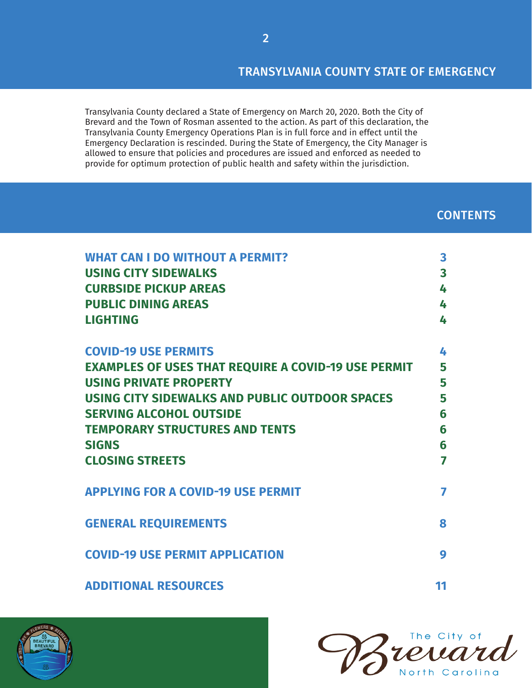## TRANSYLVANIA COUNTY STATE OF EMERGENCY

Transylvania County declared a State of Emergency on March 20, 2020. Both the City of Brevard and the Town of Rosman assented to the action. As part of this declaration, the Transylvania County Emergency Operations Plan is in full force and in effect until the Emergency Declaration is rescinded. During the State of Emergency, the City Manager is allowed to ensure that policies and procedures are issued and enforced as needed to provide for optimum protection of public health and safety within the jurisdiction.

## **CONTENTS**

| <b>WHAT CAN I DO WITHOUT A PERMIT?</b>                     | $\overline{\mathbf{3}}$ |
|------------------------------------------------------------|-------------------------|
| <b>USING CITY SIDEWALKS</b>                                | $\overline{\mathbf{3}}$ |
| <b>CURBSIDE PICKUP AREAS</b>                               | 4                       |
| <b>PUBLIC DINING AREAS</b>                                 | 4                       |
| <b>LIGHTING</b>                                            | 4                       |
| <b>COVID-19 USE PERMITS</b>                                | 4                       |
| <b>EXAMPLES OF USES THAT REQUIRE A COVID-19 USE PERMIT</b> | 5                       |
| <b>USING PRIVATE PROPERTY</b>                              | 5                       |
| USING CITY SIDEWALKS AND PUBLIC OUTDOOR SPACES             | 5                       |
| <b>SERVING ALCOHOL OUTSIDE</b>                             | 6                       |
| <b>TEMPORARY STRUCTURES AND TENTS</b>                      | 6                       |
| <b>SIGNS</b>                                               | 6                       |
| <b>CLOSING STREETS</b>                                     | 7                       |
| <b>APPLYING FOR A COVID-19 USE PERMIT</b>                  | 7                       |
| <b>GENERAL REQUIREMENTS</b>                                | 8                       |
| <b>COVID-19 USE PERMIT APPLICATION</b>                     | 9                       |
| <b>ADDITIONAL RESOURCES</b>                                | 11                      |



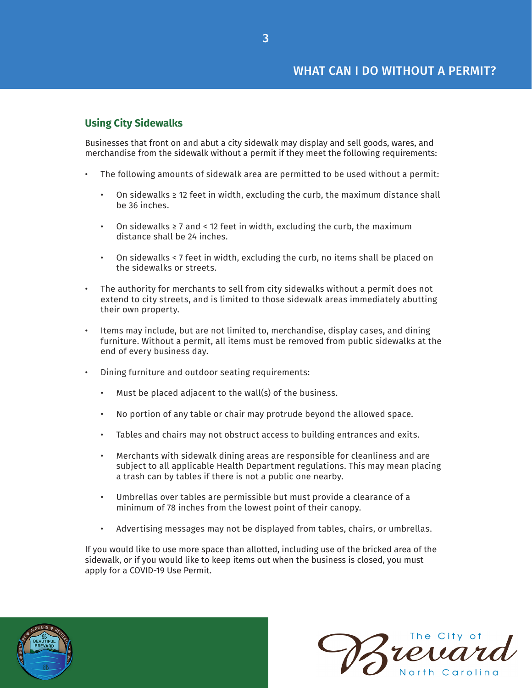## <span id="page-2-0"></span>**Using City Sidewalks**

Businesses that front on and abut a city sidewalk may display and sell goods, wares, and merchandise from the sidewalk without a permit if they meet the following requirements:

- The following amounts of sidewalk area are permitted to be used without a permit:
	- On sidewalks  $\geq 12$  feet in width, excluding the curb, the maximum distance shall be 36 inches.
	- On sidewalks ≥ 7 and < 12 feet in width, excluding the curb, the maximum distance shall be 24 inches.
	- On sidewalks < 7 feet in width, excluding the curb, no items shall be placed on the sidewalks or streets.
- The authority for merchants to sell from city sidewalks without a permit does not extend to city streets, and is limited to those sidewalk areas immediately abutting their own property.
- Items may include, but are not limited to, merchandise, display cases, and dining furniture. Without a permit, all items must be removed from public sidewalks at the end of every business day.
- Dining furniture and outdoor seating requirements:
	- Must be placed adjacent to the wall(s) of the business.
	- No portion of any table or chair may protrude beyond the allowed space.
	- Tables and chairs may not obstruct access to building entrances and exits.
	- Merchants with sidewalk dining areas are responsible for cleanliness and are subject to all applicable Health Department regulations. This may mean placing a trash can by tables if there is not a public one nearby.
	- Umbrellas over tables are permissible but must provide a clearance of a minimum of 78 inches from the lowest point of their canopy.
	- Advertising messages may not be displayed from tables, chairs, or umbrellas.

If you would like to use more space than allotted, including use of the bricked area of the sidewalk, or if you would like to keep items out when the business is closed, you must apply for a COVID-19 Use Permit.



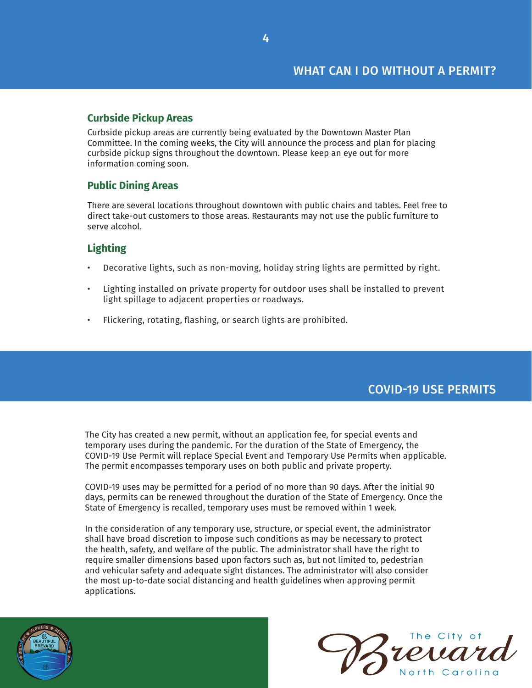## <span id="page-3-0"></span>**Curbside Pickup Areas**

Curbside pickup areas are currently being evaluated by the Downtown Master Plan Committee. In the coming weeks, the City will announce the process and plan for placing curbside pickup signs throughout the downtown. Please keep an eye out for more information coming soon.

## **Public Dining Areas**

There are several locations throughout downtown with public chairs and tables. Feel free to direct take-out customers to those areas. Restaurants may not use the public furniture to serve alcohol.

## **Lighting**

- Decorative lights, such as non-moving, holiday string lights are permitted by right.
- Lighting installed on private property for outdoor uses shall be installed to prevent light spillage to adjacent properties or roadways.
- Flickering, rotating, flashing, or search lights are prohibited.

# COVID-19 USE PERMITS

The City has created a new permit, without an application fee, for special events and temporary uses during the pandemic. For the duration of the State of Emergency, the COVID-19 Use Permit will replace Special Event and Temporary Use Permits when applicable. The permit encompasses temporary uses on both public and private property.

COVID-19 uses may be permitted for a period of no more than 90 days. After the initial 90 days, permits can be renewed throughout the duration of the State of Emergency. Once the State of Emergency is recalled, temporary uses must be removed within 1 week.

In the consideration of any temporary use, structure, or special event, the administrator shall have broad discretion to impose such conditions as may be necessary to protect the health, safety, and welfare of the public. The administrator shall have the right to require smaller dimensions based upon factors such as, but not limited to, pedestrian and vehicular safety and adequate sight distances. The administrator will also consider the most up-to-date social distancing and health guidelines when approving permit applications.



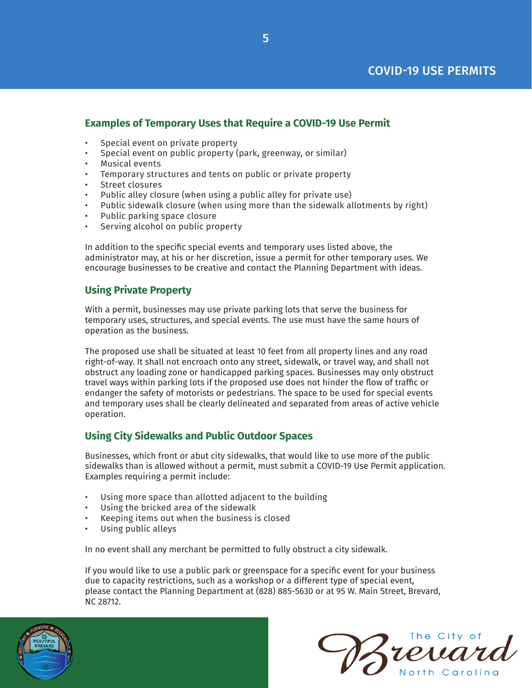## <span id="page-4-0"></span>**Examples of Temporary Uses that Require a COVID-19 Use Permit**

- Special event on private property
- Special event on public property (park, greenway, or similar)
- Musical events
- Temporary structures and tents on public or private property
- Street closures
- Public alley closure (when using a public alley for private use)
- Public sidewalk closure (when using more than the sidewalk allotments by right)
- Public parking space closure
- Serving alcohol on public property

In addition to the specific special events and temporary uses listed above, the administrator may, at his or her discretion, issue a permit for other temporary uses. We encourage businesses to be creative and contact the Planning Department with ideas.

## **Using Private Property**

With a permit, businesses may use private parking lots that serve the business for temporary uses, structures, and special events. The use must have the same hours of operation as the business.

The proposed use shall be situated at least 10 feet from all property lines and any road right-of-way. It shall not encroach onto any street, sidewalk, or travel way, and shall not obstruct any loading zone or handicapped parking spaces. Businesses may only obstruct travel ways within parking lots if the proposed use does not hinder the flow of traffic or endanger the safety of motorists or pedestrians. The space to be used for special events and temporary uses shall be clearly delineated and separated from areas of active vehicle operation.

## **Using City Sidewalks and Public Outdoor Spaces**

Businesses, which front or abut city sidewalks, that would like to use more of the public sidewalks than is allowed without a permit, must submit a COVID-19 Use Permit application. Examples requiring a permit include:

- Using more space than allotted adjacent to the building
- Using the bricked area of the sidewalk
- Keeping items out when the business is closed
- Using public alleys

In no event shall any merchant be permitted to fully obstruct a city sidewalk.

If you would like to use a public park or greenspace for a specific event for your business due to capacity restrictions, such as a workshop or a different type of special event, please contact the Planning Department at (828) 885-5630 or at 95 W. Main Street, Brevard, NC 28712.



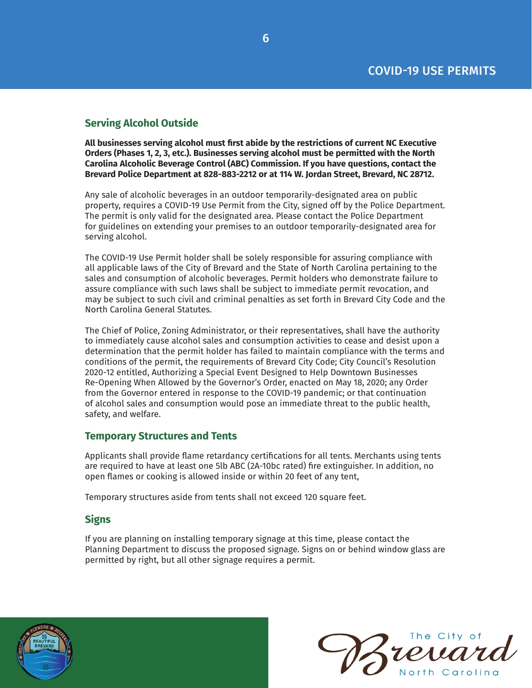## <span id="page-5-0"></span>**Serving Alcohol Outside**

**All businesses serving alcohol must first abide by the restrictions of current NC Executive Orders (Phases 1, 2, 3, etc.). Businesses serving alcohol must be permitted with the North Carolina Alcoholic Beverage Control (ABC) Commission. If you have questions, contact the Brevard Police Department at 828-883-2212 or at 114 W. Jordan Street, Brevard, NC 28712.**

Any sale of alcoholic beverages in an outdoor temporarily-designated area on public property, requires a COVID-19 Use Permit from the City, signed off by the Police Department. The permit is only valid for the designated area. Please contact the Police Department for guidelines on extending your premises to an outdoor temporarily-designated area for serving alcohol.

The COVID-19 Use Permit holder shall be solely responsible for assuring compliance with all applicable laws of the City of Brevard and the State of North Carolina pertaining to the sales and consumption of alcoholic beverages. Permit holders who demonstrate failure to assure compliance with such laws shall be subject to immediate permit revocation, and may be subject to such civil and criminal penalties as set forth in Brevard City Code and the North Carolina General Statutes.

The Chief of Police, Zoning Administrator, or their representatives, shall have the authority to immediately cause alcohol sales and consumption activities to cease and desist upon a determination that the permit holder has failed to maintain compliance with the terms and conditions of the permit, the requirements of Brevard City Code; City Council's Resolution 2020-12 entitled, Authorizing a Special Event Designed to Help Downtown Businesses Re-Opening When Allowed by the Governor's Order, enacted on May 18, 2020; any Order from the Governor entered in response to the COVID-19 pandemic; or that continuation of alcohol sales and consumption would pose an immediate threat to the public health, safety, and welfare.

#### **Temporary Structures and Tents**

Applicants shall provide flame retardancy certifications for all tents. Merchants using tents are required to have at least one 5lb ABC (2A-10bc rated) fire extinguisher. In addition, no open flames or cooking is allowed inside or within 20 feet of any tent,

Temporary structures aside from tents shall not exceed 120 square feet.

#### **Signs**

If you are planning on installing temporary signage at this time, please contact the Planning Department to discuss the proposed signage. Signs on or behind window glass are permitted by right, but all other signage requires a permit.



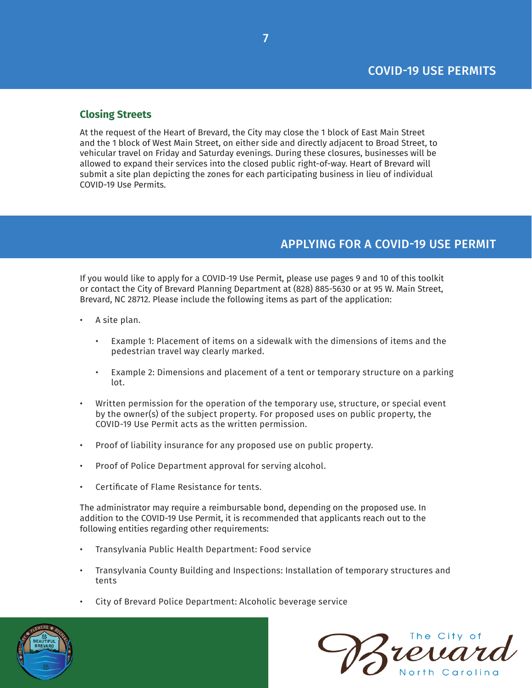### <span id="page-6-0"></span>**Closing Streets**

At the request of the Heart of Brevard, the City may close the 1 block of East Main Street and the 1 block of West Main Street, on either side and directly adjacent to Broad Street, to vehicular travel on Friday and Saturday evenings. During these closures, businesses will be allowed to expand their services into the closed public right-of-way. Heart of Brevard will submit a site plan depicting the zones for each participating business in lieu of individual COVID-19 Use Permits.

## APPLYING FOR A COVID-19 USE PERMIT

If you would like to apply for a COVID-19 Use Permit, please use pages 9 and 10 of this toolkit or contact the City of Brevard Planning Department at (828) 885-5630 or at 95 W. Main Street, Brevard, NC 28712. Please include the following items as part of the application:

- A site plan.
	- Example 1: Placement of items on a sidewalk with the dimensions of items and the pedestrian travel way clearly marked.
	- Example 2: Dimensions and placement of a tent or temporary structure on a parking lot.
- Written permission for the operation of the temporary use, structure, or special event by the owner(s) of the subject property. For proposed uses on public property, the COVID-19 Use Permit acts as the written permission.
- Proof of liability insurance for any proposed use on public property.
- Proof of Police Department approval for serving alcohol.
- Certificate of Flame Resistance for tents.

The administrator may require a reimbursable bond, depending on the proposed use. In addition to the COVID-19 Use Permit, it is recommended that applicants reach out to the following entities regarding other requirements:

- Transylvania Public Health Department: Food service
- Transylvania County Building and Inspections: Installation of temporary structures and tents
- City of Brevard Police Department: Alcoholic beverage service



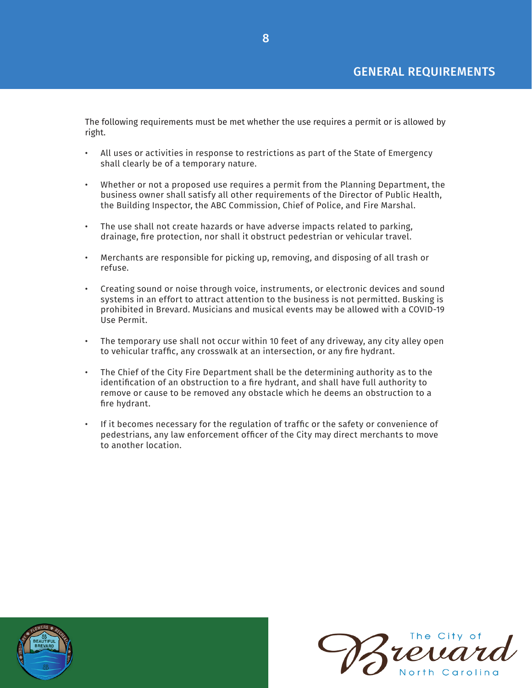## GENERAL REQUIREMENTS

<span id="page-7-0"></span>The following requirements must be met whether the use requires a permit or is allowed by right.

- All uses or activities in response to restrictions as part of the State of Emergency shall clearly be of a temporary nature.
- Whether or not a proposed use requires a permit from the Planning Department, the business owner shall satisfy all other requirements of the Director of Public Health, the Building Inspector, the ABC Commission, Chief of Police, and Fire Marshal.
- The use shall not create hazards or have adverse impacts related to parking, drainage, fire protection, nor shall it obstruct pedestrian or vehicular travel.
- Merchants are responsible for picking up, removing, and disposing of all trash or refuse.
- Creating sound or noise through voice, instruments, or electronic devices and sound systems in an effort to attract attention to the business is not permitted. Busking is prohibited in Brevard. Musicians and musical events may be allowed with a COVID-19 Use Permit.
- The temporary use shall not occur within 10 feet of any driveway, any city alley open to vehicular traffic, any crosswalk at an intersection, or any fire hydrant.
- The Chief of the City Fire Department shall be the determining authority as to the identification of an obstruction to a fire hydrant, and shall have full authority to remove or cause to be removed any obstacle which he deems an obstruction to a fire hydrant.
- If it becomes necessary for the regulation of traffic or the safety or convenience of pedestrians, any law enforcement officer of the City may direct merchants to move to another location.



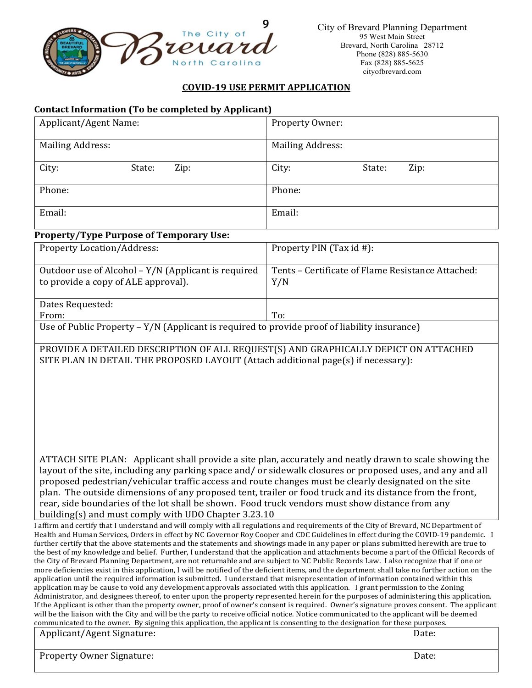<span id="page-8-0"></span>

#### **COVID‐19 USE PERMIT APPLICATION**

#### **Contact Information (To be completed by Applicant)**

From: <u>To:</u>

| Applicant/Agent Name:                                                                      | Property Owner:                                          |  |
|--------------------------------------------------------------------------------------------|----------------------------------------------------------|--|
| <b>Mailing Address:</b>                                                                    | <b>Mailing Address:</b>                                  |  |
| City:<br>Zip:<br>State:                                                                    | City:<br>State:<br>Zip:                                  |  |
| Phone:                                                                                     | Phone:                                                   |  |
| Email:                                                                                     | Email:                                                   |  |
| <b>Property/Type Purpose of Temporary Use:</b>                                             |                                                          |  |
| <b>Property Location/Address:</b>                                                          | Property PIN (Tax id #):                                 |  |
| Outdoor use of Alcohol – Y/N (Applicant is required<br>to provide a copy of ALE approval). | Tents – Certificate of Flame Resistance Attached:<br>Y/N |  |
| Dates Requested:                                                                           |                                                          |  |

PROVIDE A DETAILED DESCRIPTION OF ALL REQUEST(S) AND GRAPHICALLY DEPICT ON ATTACHED SITE PLAN IN DETAIL THE PROPOSED LAYOUT (Attach additional page(s) if necessary):

Use of Public Property – Y/N (Applicant is required to provide proof of liability insurance)

ATTACH SITE PLAN: Applicant shall provide a site plan, accurately and neatly drawn to scale showing the layout of the site, including any parking space and/ or sidewalk closures or proposed uses, and any and all proposed pedestrian/vehicular traffic access and route changes must be clearly designated on the site plan. The outside dimensions of any proposed tent, trailer or food truck and its distance from the front, rear, side boundaries of the lot shall be shown. Food truck vendors must show distance from any building(s) and must comply with UDO Chapter 3.23.10

I affirm and certify that I understand and will comply with all regulations and requirements of the City of Brevard, NC Department of Health and Human Services, Orders in effect by NC Governor Roy Cooper and CDC Guidelines in effect during the COVID-19 pandemic. I further certify that the above statements and the statements and showings made in any paper or plans submitted herewith are true to the best of my knowledge and belief. Further, I understand that the application and attachments become a part of the Official Records of the City of Brevard Planning Department, are not returnable and are subject to NC Public Records Law. I also recognize that if one or more deficiencies exist in this application, I will be notified of the deficient items, and the department shall take no further action on the application until the required information is submitted. I understand that misrepresentation of information contained within this application may be cause to void any development approvals associated with this application. I grant permission to the Zoning Administrator, and designees thereof, to enter upon the property represented herein for the purposes of administering this application. If the Applicant is other than the property owner, proof of owner's consent is required. Owner's signature proves consent. The applicant will be the liaison with the City and will be the party to receive official notice. Notice communicated to the applicant will be deemed communicated to the owner. By signing this application, the applicant is consenting to the designation for these purposes. Applicant/Agent Signature:

| $\mu$ applicant, agent organism c. | Ducc. |
|------------------------------------|-------|
| <b>Property Owner Signature:</b>   | Date: |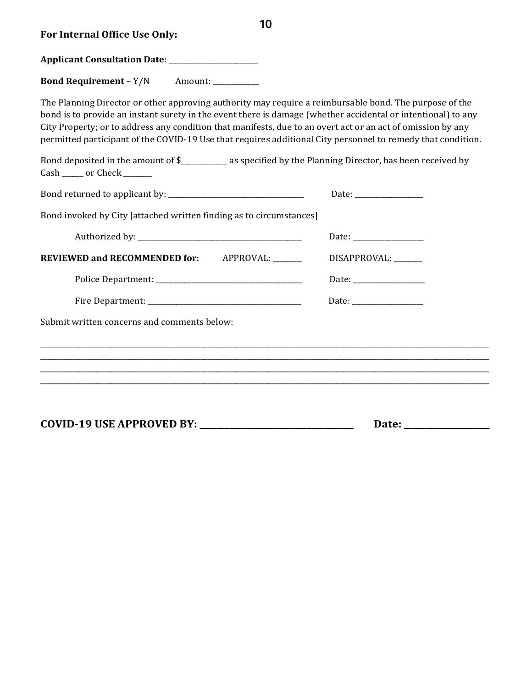| For Internal Office Use Only:                                                                                                                                                                                                                                                                                                                                                                                                                                                                                                                                      | 10                                                                               |
|--------------------------------------------------------------------------------------------------------------------------------------------------------------------------------------------------------------------------------------------------------------------------------------------------------------------------------------------------------------------------------------------------------------------------------------------------------------------------------------------------------------------------------------------------------------------|----------------------------------------------------------------------------------|
|                                                                                                                                                                                                                                                                                                                                                                                                                                                                                                                                                                    |                                                                                  |
| <b>Bond Requirement - Y/N</b><br>Amount:                                                                                                                                                                                                                                                                                                                                                                                                                                                                                                                           |                                                                                  |
| The Planning Director or other approving authority may require a reimbursable bond. The purpose of the<br>bond is to provide an instant surety in the event there is damage (whether accidental or intentional) to any<br>City Property; or to address any condition that manifests, due to an overt act or an act of omission by any<br>permitted participant of the COVID-19 Use that requires additional City personnel to remedy that condition.<br>Bond deposited in the amount of \$____________ as specified by the Planning Director, has been received by |                                                                                  |
| Cash _____ or Check ______                                                                                                                                                                                                                                                                                                                                                                                                                                                                                                                                         |                                                                                  |
|                                                                                                                                                                                                                                                                                                                                                                                                                                                                                                                                                                    |                                                                                  |
| Bond invoked by City [attached written finding as to circumstances]                                                                                                                                                                                                                                                                                                                                                                                                                                                                                                |                                                                                  |
|                                                                                                                                                                                                                                                                                                                                                                                                                                                                                                                                                                    |                                                                                  |
| REVIEWED and RECOMMENDED for: APPROVAL: _____                                                                                                                                                                                                                                                                                                                                                                                                                                                                                                                      | DISAPPROVAL:                                                                     |
|                                                                                                                                                                                                                                                                                                                                                                                                                                                                                                                                                                    |                                                                                  |
|                                                                                                                                                                                                                                                                                                                                                                                                                                                                                                                                                                    |                                                                                  |
| Submit written concerns and comments below:                                                                                                                                                                                                                                                                                                                                                                                                                                                                                                                        |                                                                                  |
|                                                                                                                                                                                                                                                                                                                                                                                                                                                                                                                                                                    | ,我们也不能会在这里,我们的人们就会不能会在这里,我们也不能会不能会不能会不能会不能会不能会不能会。""我们的人们就会不能会不能会不能会不能会不能会不能会不能会 |
|                                                                                                                                                                                                                                                                                                                                                                                                                                                                                                                                                                    | Date: <u>____________________</u>                                                |